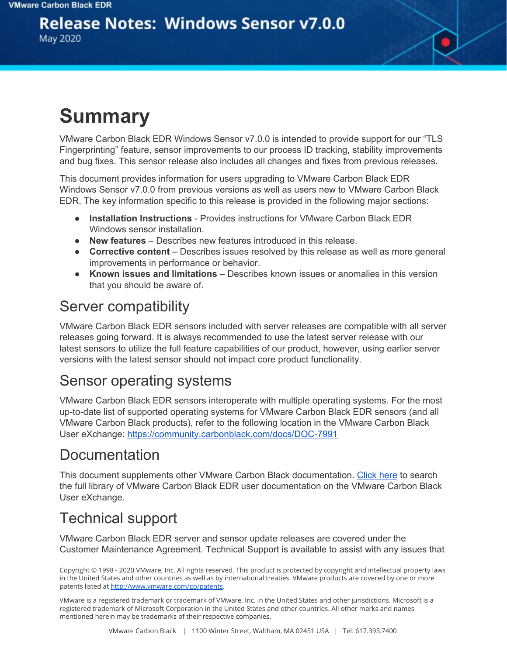### **Release Notes: Windows Sensor v7.0.0**

May 2020

# **Summary**

VMware Carbon Black EDR Windows Sensor v7.0.0 is intended to provide support for our "TLS Fingerprinting" feature, sensor improvements to our process ID tracking, stability improvements and bug fixes. This sensor release also includes all changes and fixes from previous releases.

This document provides information for users upgrading to VMware Carbon Black EDR Windows Sensor v7.0.0 from previous versions as well as users new to VMware Carbon Black EDR. The key information specific to this release is provided in the following major sections:

- **Installation Instructions** Provides instructions for VMware Carbon Black EDR Windows sensor installation.
- **New features** Describes new features introduced in this release.
- **Corrective content** Describes issues resolved by this release as well as more general improvements in performance or behavior.
- **Known issues and limitations** Describes known issues or anomalies in this version that you should be aware of.

#### Server compatibility

VMware Carbon Black EDR sensors included with server releases are compatible with all server releases going forward. It is always recommended to use the latest server release with our latest sensors to utilize the full feature capabilities of our product, however, using earlier server versions with the latest sensor should not impact core product functionality.

#### Sensor operating systems

VMware Carbon Black EDR sensors interoperate with multiple operating systems. For the most up-to-date list of supported operating systems for VMware Carbon Black EDR sensors (and all VMware Carbon Black products), refer to the following location in the VMware Carbon Black User eXchange: <https://community.carbonblack.com/docs/DOC-7991>

### Documentation

This document supplements other VMware Carbon Black documentation. [Click](https://community.carbonblack.com/t5/Cb-Response/ct-p/cbresponse) here to search the full library of VMware Carbon Black EDR user documentation on the VMware Carbon Black User eXchange.

## Technical support

VMware Carbon Black EDR server and sensor update releases are covered under the Customer Maintenance Agreement. Technical Support is available to assist with any issues that

Copyright © 1998 - 2020 VMware, Inc. All rights reserved. This product is protected by copyright and intellectual property laws in the United States and other countries as well as by international treaties. VMware products are covered by one or more patents listed at <http://www.vmware.com/go/patents>.

VMware is a registered trademark or trademark of VMware, Inc. in the United States and other jurisdictions. Microsoft is a registered trademark of Microsoft Corporation in the United States and other countries. All other marks and names mentioned herein may be trademarks of their respective companies.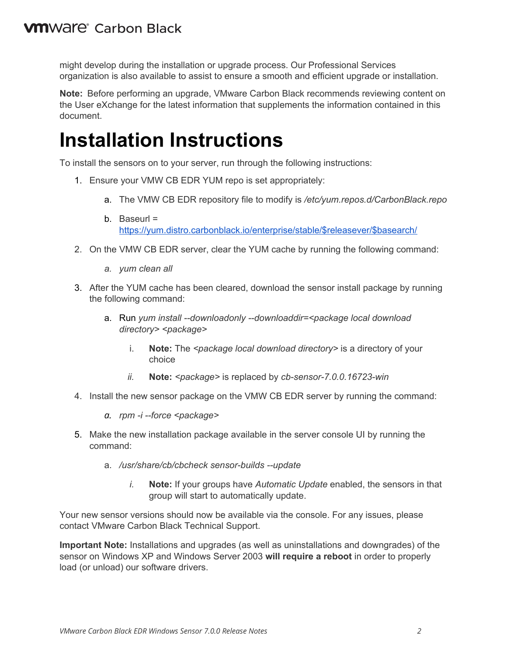might develop during the installation or upgrade process. Our Professional Services organization is also available to assist to ensure a smooth and efficient upgrade or installation.

**Note:** Before performing an upgrade, VMware Carbon Black recommends reviewing content on the User eXchange for the latest information that supplements the information contained in this document.

## **Installation Instructions**

To install the sensors on to your server, run through the following instructions:

- 1. Ensure your VMW CB EDR YUM repo is set appropriately:
	- a. The VMW CB EDR repository file to modify is */etc/yum.repos.d/CarbonBlack.repo*
	- b. Baseurl = [https://yum.distro.carbonblack.io/enterprise/stable/\\$releasever/\\$basearch/](https://yum.distro.carbonblack.io/enterprise/stable/$releasever/$basearch/)
- 2. On the VMW CB EDR server, clear the YUM cache by running the following command:
	- *a. yum clean all*
- 3. After the YUM cache has been cleared, download the sensor install package by running the following command:
	- a. Run *yum install --downloadonly --downloaddir=<package local download directory> <package>*
		- i. **Note:** The *<package local download directory>* is a directory of your choice
		- *ii.* **Note:** *<package>* is replaced by *cb-sensor-7.0.0.16723-win*
- 4. Install the new sensor package on the VMW CB EDR server by running the command:
	- *a. rpm -i --force <package>*
- 5. Make the new installation package available in the server console UI by running the command:
	- a. */usr/share/cb/cbcheck sensor-builds --update*
		- *i.* **Note:** If your groups have *Automatic Update* enabled, the sensors in that group will start to automatically update.

Your new sensor versions should now be available via the console. For any issues, please contact VMware Carbon Black Technical Support.

**Important Note:** Installations and upgrades (as well as uninstallations and downgrades) of the sensor on Windows XP and Windows Server 2003 **will require a reboot** in order to properly load (or unload) our software drivers.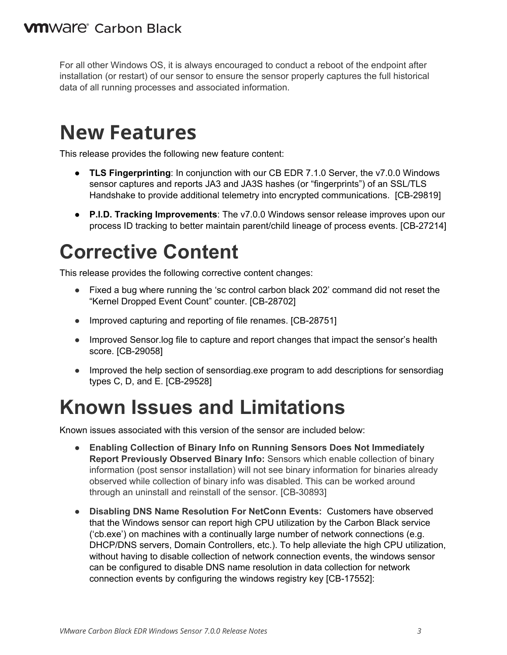For all other Windows OS, it is always encouraged to conduct a reboot of the endpoint after installation (or restart) of our sensor to ensure the sensor properly captures the full historical data of all running processes and associated information.

## **New Features**

This release provides the following new feature content:

- **TLS Fingerprinting**: In conjunction with our CB EDR 7.1.0 Server, the v7.0.0 Windows sensor captures and reports JA3 and JA3S hashes (or "fingerprints") of an SSL/TLS Handshake to provide additional telemetry into encrypted communications. [CB-29819]
- **P.I.D. Tracking Improvements**: The v7.0.0 Windows sensor release improves upon our process ID tracking to better maintain parent/child lineage of process events. [CB-27214]

# **Corrective Content**

This release provides the following corrective content changes:

- Fixed a bug where running the 'sc control carbon black 202' command did not reset the "Kernel Dropped Event Count" counter. [CB-28702]
- Improved capturing and reporting of file renames. [CB-28751]
- Improved Sensor. log file to capture and report changes that impact the sensor's health score. [CB-29058]
- Improved the help section of sensordiag.exe program to add descriptions for sensordiag types C, D, and E. [CB-29528]

# **Known Issues and Limitations**

Known issues associated with this version of the sensor are included below:

- **Enabling Collection of Binary Info on Running Sensors Does Not Immediately Report Previously Observed Binary Info:** Sensors which enable collection of binary information (post sensor installation) will not see binary information for binaries already observed while collection of binary info was disabled. This can be worked around through an uninstall and reinstall of the sensor. [CB-30893]
- **Disabling DNS Name Resolution For NetConn Events:** Customers have observed that the Windows sensor can report high CPU utilization by the Carbon Black service ('cb.exe') on machines with a continually large number of network connections (e.g. DHCP/DNS servers, Domain Controllers, etc.). To help alleviate the high CPU utilization, without having to disable collection of network connection events, the windows sensor can be configured to disable DNS name resolution in data collection for network connection events by configuring the windows registry key [CB-17552]: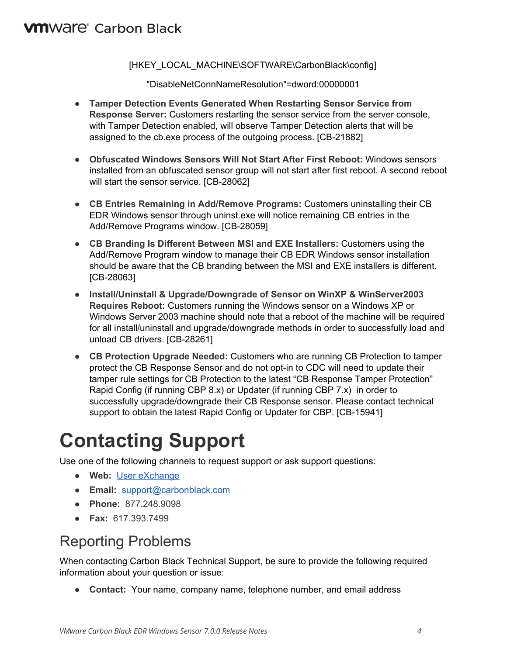#### **VM**Ware<sup>®</sup> Carbon Black

#### [HKEY\_LOCAL\_MACHINE\SOFTWARE\CarbonBlack\config]

"DisableNetConnNameResolution"=dword:00000001

- **Tamper Detection Events Generated When Restarting Sensor Service from Response Server:** Customers restarting the sensor service from the server console, with Tamper Detection enabled, will observe Tamper Detection alerts that will be assigned to the cb.exe process of the outgoing process. [CB-21882]
- **Obfuscated Windows Sensors Will Not Start After First Reboot:** Windows sensors installed from an obfuscated sensor group will not start after first reboot. A second reboot will start the sensor service. [CB-28062]
- **CB Entries Remaining in Add/Remove Programs:** Customers uninstalling their CB EDR Windows sensor through uninst.exe will notice remaining CB entries in the Add/Remove Programs window. [CB-28059]
- **CB Branding Is Different Between MSI and EXE Installers:** Customers using the Add/Remove Program window to manage their CB EDR Windows sensor installation should be aware that the CB branding between the MSI and EXE installers is different. [CB-28063]
- **Install/Uninstall & Upgrade/Downgrade of Sensor on WinXP & WinServer2003 Requires Reboot:** Customers running the Windows sensor on a Windows XP or Windows Server 2003 machine should note that a reboot of the machine will be required for all install/uninstall and upgrade/downgrade methods in order to successfully load and unload CB drivers. [CB-28261]
- **CB Protection Upgrade Needed:** Customers who are running CB Protection to tamper protect the CB Response Sensor and do not opt-in to CDC will need to update their tamper rule settings for CB Protection to the latest "CB Response Tamper Protection" Rapid Config (if running CBP 8.x) or Updater (if running CBP 7.x) in order to successfully upgrade/downgrade their CB Response sensor. Please contact technical support to obtain the latest Rapid Config or Updater for CBP. [CB-15941]

# **Contacting Support**

Use one of the following channels to request support or ask support questions:

- **Web:** User [eXchange](https://community.carbonblack.com/)
- **Email:** [support@carbonblack.com](mailto:support@carbonblack.com)
- **Phone:** 877.248.9098
- **Fax:** 617.393.7499

## Reporting Problems

When contacting Carbon Black Technical Support, be sure to provide the following required information about your question or issue:

● **Contact:** Your name, company name, telephone number, and email address